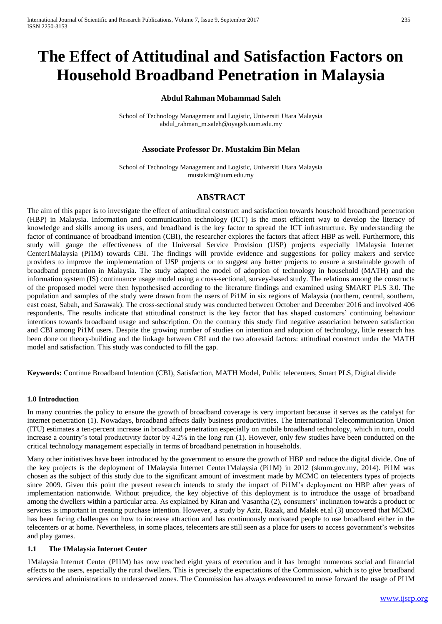# **The Effect of Attitudinal and Satisfaction Factors on Household Broadband Penetration in Malaysia**

# **Abdul Rahman Mohammad Saleh**

School of Technology Management and Logistic, Universiti Utara Malaysia abdul\_rahman\_m.saleh@oyagsb.uum.edu.my

## **Associate Professor Dr. Mustakim Bin Melan**

School of Technology Management and Logistic, Universiti Utara Malaysia mustakim@uum.edu.my

## **ABSTRACT**

The aim of this paper is to investigate the effect of attitudinal construct and satisfaction towards household broadband penetration (HBP) in Malaysia. Information and communication technology (ICT) is the most efficient way to develop the literacy of knowledge and skills among its users, and broadband is the key factor to spread the ICT infrastructure. By understanding the factor of continuance of broadband intention (CBI), the researcher explores the factors that affect HBP as well. Furthermore, this study will gauge the effectiveness of the Universal Service Provision (USP) projects especially 1Malaysia Internet Center1Malaysia (Pi1M) towards CBI. The findings will provide evidence and suggestions for policy makers and service providers to improve the implementation of USP projects or to suggest any better projects to ensure a sustainable growth of broadband penetration in Malaysia. The study adapted the model of adoption of technology in household (MATH) and the information system (IS) continuance usage model using a cross-sectional, survey-based study. The relations among the constructs of the proposed model were then hypothesised according to the literature findings and examined using SMART PLS 3.0. The population and samples of the study were drawn from the users of Pi1M in six regions of Malaysia (northern, central, southern, east coast, Sabah, and Sarawak). The cross-sectional study was conducted between October and December 2016 and involved 406 respondents. The results indicate that attitudinal construct is the key factor that has shaped customers' continuing behaviour intentions towards broadband usage and subscription. On the contrary this study find negative association between satisfaction and CBI among Pi1M users. Despite the growing number of studies on intention and adoption of technology, little research has been done on theory-building and the linkage between CBI and the two aforesaid factors: attitudinal construct under the MATH model and satisfaction. This study was conducted to fill the gap.

**Keywords:** Continue Broadband Intention (CBI), Satisfaction, MATH Model, Public telecenters, Smart PLS, Digital divide

#### **1.0 Introduction**

In many countries the policy to ensure the growth of broadband coverage is very important because it serves as the catalyst for internet penetration (1). Nowadays, broadband affects daily business productivities. The International Telecommunication Union (ITU) estimates a ten-percent increase in broadband penetration especially on mobile broadband technology, which in turn, could increase a country's total productivity factor by 4.2% in the long run (1). However, only few studies have been conducted on the critical technology management especially in terms of broadband penetration in households.

Many other initiatives have been introduced by the government to ensure the growth of HBP and reduce the digital divide. One of the key projects is the deployment of 1Malaysia Internet Center1Malaysia (Pi1M) in 2012 (skmm.gov.my, 2014). Pi1M was chosen as the subject of this study due to the significant amount of investment made by MCMC on telecenters types of projects since 2009. Given this point the present research intends to study the impact of Pi1M's deployment on HBP after years of implementation nationwide. Without prejudice, the key objective of this deployment is to introduce the usage of broadband among the dwellers within a particular area. As explained by Kiran and Vasantha (2), consumers' inclination towards a product or services is important in creating purchase intention. However, a study by Aziz, Razak, and Malek et.al (3) uncovered that MCMC has been facing challenges on how to increase attraction and has continuously motivated people to use broadband either in the telecenters or at home. Nevertheless, in some places, telecenters are still seen as a place for users to access government's websites and play games.

#### **1.1 The 1Malaysia Internet Center**

1Malaysia Internet Center (PI1M) has now reached eight years of execution and it has brought numerous social and financial effects to the users, especially the rural dwellers. This is precisely the expectations of the Commission, which is to give broadband services and administrations to underserved zones. The Commission has always endeavoured to move forward the usage of PI1M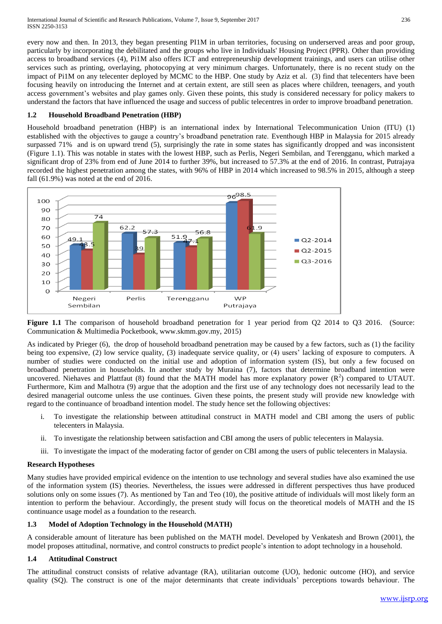every now and then. In 2013, they began presenting PI1M in urban territories, focusing on underserved areas and poor group, particularly by incorporating the debilitated and the groups who live in Individuals' Housing Project (PPR). Other than providing access to broadband services (4), Pi1M also offers ICT and entrepreneurship development trainings, and users can utilise other services such as printing, overlaying, photocopying at very minimum charges. Unfortunately, there is no recent study on the impact of Pi1M on any telecenter deployed by MCMC to the HBP. One study by Aziz et al. (3) find that telecenters have been focusing heavily on introducing the Internet and at certain extent, are still seen as places where children, teenagers, and youth access government's websites and play games only. Given these points, this study is considered necessary for policy makers to understand the factors that have influenced the usage and success of public telecentres in order to improve broadband penetration.

## **1.2 Household Broadband Penetration (HBP)**

Household broadband penetration (HBP) is an international index by International Telecommunication Union (ITU) (1) established with the objectives to gauge a country's broadband penetration rate. Eventhough HBP in Malaysia for 2015 already surpassed 71% and is on upward trend (5), surprisingly the rate in some states has significantly dropped and was inconsistent (Figure 1.1). This was notable in states with the lowest HBP, such as Perlis, Negeri Sembilan, and Terengganu, which marked a significant drop of 23% from end of June 2014 to further 39%, but increased to 57.3% at the end of 2016. In contrast, Putrajaya recorded the highest penetration among the states, with 96% of HBP in 2014 which increased to 98.5% in 2015, although a steep fall (61.9%) was noted at the end of 2016.



**Figure 1.1** The comparison of household broadband penetration for 1 year period from O2 2014 to O3 2016. (Source: Communication & Multimedia Pocketbook, www.skmm.gov.my, 2015)

As indicated by Prieger (6), the drop of household broadband penetration may be caused by a few factors, such as (1) the facility being too expensive, (2) low service quality, (3) inadequate service quality, or (4) users' lacking of exposure to computers. A number of studies were conducted on the initial use and adoption of information system (IS), but only a few focused on broadband penetration in households. In another study by Muraina (7), factors that determine broadband intention were uncovered. Niehaves and Plattfaut (8) found that the MATH model has more explanatory power  $(R^2)$  compared to UTAUT. Furthermore, Kim and Malhotra (9) argue that the adoption and the first use of any technology does not necessarily lead to the desired managerial outcome unless the use continues. Given these points, the present study will provide new knowledge with regard to the continuance of broadband intention model. The study hence set the following objectives:

- i. To investigate the relationship between attitudinal construct in MATH model and CBI among the users of public telecenters in Malaysia.
- ii. To investigate the relationship between satisfaction and CBI among the users of public telecenters in Malaysia.
- iii. To investigate the impact of the moderating factor of gender on CBI among the users of public telecenters in Malaysia.

# **Research Hypotheses**

Many studies have provided empirical evidence on the intention to use technology and several studies have also examined the use of the information system (IS) theories. Nevertheless, the issues were addressed in different perspectives thus have produced solutions only on some issues (7). As mentioned by Tan and Teo (10), the positive attitude of individuals will most likely form an intention to perform the behaviour. Accordingly, the present study will focus on the theoretical models of MATH and the IS continuance usage model as a foundation to the research.

# **1.3 Model of Adoption Technology in the Household (MATH)**

A considerable amount of literature has been published on the MATH model. Developed by Venkatesh and Brown (2001), the model proposes attitudinal, normative, and control constructs to predict people's intention to adopt technology in a household.

# **1.4 Attitudinal Construct**

The attitudinal construct consists of relative advantage (RA), utilitarian outcome (UO), hedonic outcome (HO), and service quality (SQ). The construct is one of the major determinants that create individuals' perceptions towards behaviour. The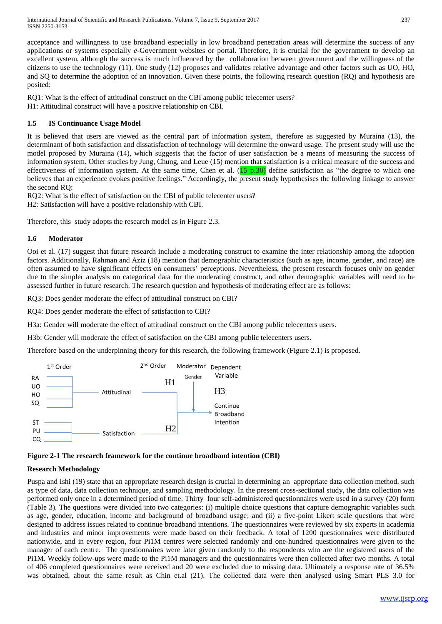International Journal of Scientific and Research Publications, Volume 7, Issue 9, September 2017 237 ISSN 2250-3153

acceptance and willingness to use broadband especially in low broadband penetration areas will determine the success of any applications or systems especially *e*-Government websites or portal. Therefore, it is crucial for the government to develop an excellent system, although the success is much influenced by the collaboration between government and the willingness of the citizens to use the technology (11). One study (12) proposes and validates relative advantage and other factors such as UO, HO, and SQ to determine the adoption of an innovation. Given these points, the following research question (RQ) and hypothesis are posited:

RQ1: What is the effect of attitudinal construct on the CBI among public telecenter users? H1: Attitudinal construct will have a positive relationship on CBI.

## **1.5 IS Continuance Usage Model**

It is believed that users are viewed as the central part of information system, therefore as suggested by Muraina (13), the determinant of both satisfaction and dissatisfaction of technology will determine the onward usage. The present study will use the model proposed by Muraina (14), which suggests that the factor of user satisfaction be a means of measuring the success of information system. Other studies by Jung, Chung, and Leue (15) mention that satisfaction is a critical measure of the success and effectiveness of information system. At the same time, Chen et al.  $(15 \text{ p.30})$  define satisfaction as "the degree to which one believes that an experience evokes positive feelings." Accordingly, the present study hypothesises the following linkage to answer the second RQ:

RQ2: What is the effect of satisfaction on the CBI of public telecenter users? H2: Satisfaction will have a positive relationship with CBI.

Therefore, this study adopts the research model as in Figure 2.3.

#### **1.6 Moderator**

Ooi et al. (17) suggest that future research include a moderating construct to examine the inter relationship among the adoption factors. Additionally, Rahman and Aziz (18) mention that demographic characteristics (such as age, income, gender, and race) are often assumed to have significant effects on consumers' perceptions. Nevertheless, the present research focuses only on gender due to the simpler analysis on categorical data for the moderating construct, and other demographic variables will need to be assessed further in future research. The research question and hypothesis of moderating effect are as follows:

RQ3: Does gender moderate the effect of attitudinal construct on CBI?

RQ4: Does gender moderate the effect of satisfaction to CBI?

H3a: Gender will moderate the effect of attitudinal construct on the CBI among public telecenters users.

H3b: Gender will moderate the effect of satisfaction on the CBI among public telecenters users.

Therefore based on the underpinning theory for this research, the following framework (Figure 2.1) is proposed.





## **Research Methodology**

Puspa and Ishi (19) state that an appropriate research design is crucial in determining an appropriate data collection method, such as type of data, data collection technique, and sampling methodology. In the present cross-sectional study, the data collection was performed only once in a determined period of time. Thirty–four self-administered questionnaires were used in a survey (20) form (Table 3). The questions were divided into two categories: (i) multiple choice questions that capture demographic variables such as age, gender, education, income and background of broadband usage; and (ii) a five-point Likert scale questions that were designed to address issues related to continue broadband intentions. The questionnaires were reviewed by six experts in academia and industries and minor improvements were made based on their feedback. A total of 1200 questionnaires were distributed nationwide, and in every region, four Pi1M centres were selected randomly and one-hundred questionnaires were given to the manager of each centre. The questionnaires were later given randomly to the respondents who are the registered users of the Pi1M. Weekly follow-ups were made to the Pi1M managers and the questionnaires were then collected after two months. A total of 406 completed questionnaires were received and 20 were excluded due to missing data. Ultimately a response rate of 36.5% was obtained, about the same result as Chin et.al (21). The collected data were then analysed using Smart PLS 3.0 for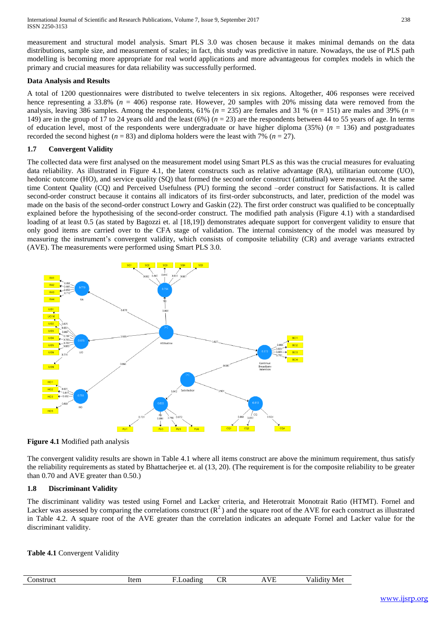International Journal of Scientific and Research Publications, Volume 7, Issue 9, September 2017 238 ISSN 2250-3153

measurement and structural model analysis. Smart PLS 3.0 was chosen because it makes minimal demands on the data distributions, sample size, and measurement of scales; in fact, this study was predictive in nature. Nowadays, the use of PLS path modelling is becoming more appropriate for real world applications and more advantageous for complex models in which the primary and crucial measures for data reliability was successfully performed.

## **Data Analysis and Results**

A total of 1200 questionnaires were distributed to twelve telecenters in six regions. Altogether, 406 responses were received hence representing a 33.8% ( $n = 406$ ) response rate. However, 20 samples with 20% missing data were removed from the analysis, leaving 386 samples. Among the respondents,  $61\%$  ( $n = 235$ ) are females and 31 % ( $n = 151$ ) are males and 39% ( $n =$ 149) are in the group of 17 to 24 years old and the least (6%) (*n* = 23) are the respondents between 44 to 55 years of age. In terms of education level, most of the respondents were undergraduate or have higher diploma  $(35%)$  ( $n = 136$ ) and postgraduates recorded the second highest  $(n = 83)$  and diploma holders were the least with 7%  $(n = 27)$ .

# **1.7 Convergent Validity**

The collected data were first analysed on the measurement model using Smart PLS as this was the crucial measures for evaluating data reliability. As illustrated in Figure 4.1, the latent constructs such as relative advantage (RA), utilitarian outcome (UO), hedonic outcome (HO), and service quality (SQ) that formed the second order construct (attitudinal) were measured. At the same time Content Quality (CQ) and Perceived Usefulness (PU) forming the second –order construct for Satisfactions. It is called second-order construct because it contains all indicators of its first-order subconstructs, and later, prediction of the model was made on the basis of the second-order construct Lowry and Gaskin (22). The first order construct was qualified to be conceptually explained before the hypothesising of the second-order construct. The modified path analysis (Figure 4.1) with a standardised loading of at least 0.5 (as stated by Bagozzi et. al [18,19]) demonstrates adequate support for convergent validity to ensure that only good items are carried over to the CFA stage of validation. The internal consistency of the model was measured by measuring the instrument's convergent validity, which consists of composite teliability (CR) and average variants extracted (AVE). The measurements were performed using Smart PLS 3.0.





The convergent validity results are shown in Table 4.1 where all items construct are above the minimum requirement, thus satisfy the reliability requirements as stated by Bhattacherjee et. al (13, 20). (The requirement is for the composite reliability to be greater than 0.70 and AVE greater than 0.50.)

## **1.8 Discriminant Validity**

The discriminant validity was tested using Fornel and Lacker criteria, and Heterotrait Monotrait Ratio (HTMT). Fornel and Lacker was assessed by comparing the correlations construct  $(R^2)$  and the square root of the AVE for each construct as illustrated in Table 4.2. A square root of the AVE greater than the correlation indicates an adequate Fornel and Lacker value for the discriminant validity.

## **Table 4.1** Convergent Validity

| -<br>struct<br>n<br>. | .tan<br>TICIII | --- -<br>. .<br> | --<br>$-1$<br>$\sim$ $\sim$ | .<br>,,<br><u>. на три</u><br>the contract of the contract of the contract of the contract of the contract of | __ |
|-----------------------|----------------|------------------|-----------------------------|---------------------------------------------------------------------------------------------------------------|----|
|                       |                |                  |                             |                                                                                                               |    |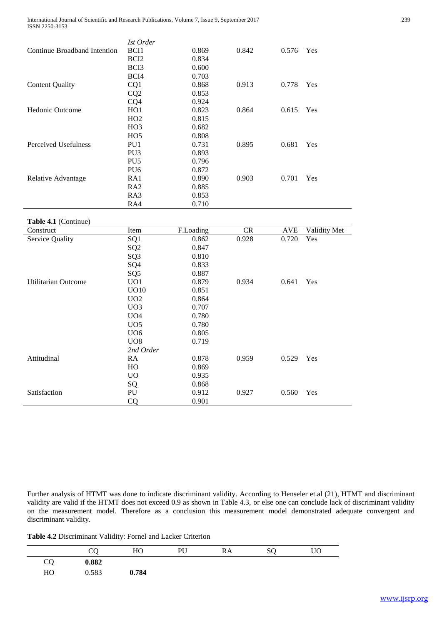International Journal of Scientific and Research Publications, Volume 7, Issue 9, September 2017 239 ISSN 2250-3153

|                              | Ist Order        |       |       |       |     |
|------------------------------|------------------|-------|-------|-------|-----|
| Continue Broadband Intention | BCI <sub>1</sub> | 0.869 | 0.842 | 0.576 | Yes |
|                              | BCI <sub>2</sub> | 0.834 |       |       |     |
|                              | BCI3             | 0.600 |       |       |     |
|                              | BCI4             | 0.703 |       |       |     |
| <b>Content Quality</b>       | CQ1              | 0.868 | 0.913 | 0.778 | Yes |
|                              | CQ <sub>2</sub>  | 0.853 |       |       |     |
|                              | CQ4              | 0.924 |       |       |     |
| <b>Hedonic Outcome</b>       | HO <sub>1</sub>  | 0.823 | 0.864 | 0.615 | Yes |
|                              | HO2              | 0.815 |       |       |     |
|                              | H <sub>O</sub> 3 | 0.682 |       |       |     |
|                              | HO <sub>5</sub>  | 0.808 |       |       |     |
| Perceived Usefulness         | PU1              | 0.731 | 0.895 | 0.681 | Yes |
|                              | PU <sub>3</sub>  | 0.893 |       |       |     |
|                              | PU <sub>5</sub>  | 0.796 |       |       |     |
|                              | PU <sub>6</sub>  | 0.872 |       |       |     |
| Relative Advantage           | RA1              | 0.890 | 0.903 | 0.701 | Yes |
|                              | RA <sub>2</sub>  | 0.885 |       |       |     |
|                              | RA3              | 0.853 |       |       |     |
|                              | RA4              | 0.710 |       |       |     |

**Table 4.1** (Continue)

| Construct              | Item             | F.Loading | <b>CR</b> | AVE   | Validity Met |
|------------------------|------------------|-----------|-----------|-------|--------------|
| <b>Service Quality</b> | SQ1              | 0.862     | 0.928     | 0.720 | Yes          |
|                        | SQ <sub>2</sub>  | 0.847     |           |       |              |
|                        | SQ <sub>3</sub>  | 0.810     |           |       |              |
|                        | SQ4              | 0.833     |           |       |              |
|                        | SQ <sub>5</sub>  | 0.887     |           |       |              |
| Utilitarian Outcome    | UO1              | 0.879     | 0.934     | 0.641 | Yes          |
|                        | <b>UO10</b>      | 0.851     |           |       |              |
|                        | U <sub>O</sub> 2 | 0.864     |           |       |              |
|                        | UO <sub>3</sub>  | 0.707     |           |       |              |
|                        | U <sub>O</sub> 4 | 0.780     |           |       |              |
|                        | UO <sub>5</sub>  | 0.780     |           |       |              |
|                        | U <sub>06</sub>  | 0.805     |           |       |              |
|                        | UO <sub>8</sub>  | 0.719     |           |       |              |
|                        | 2nd Order        |           |           |       |              |
| Attitudinal            | <b>RA</b>        | 0.878     | 0.959     | 0.529 | Yes          |
|                        | HO               | 0.869     |           |       |              |
|                        | U <sub>O</sub>   | 0.935     |           |       |              |
|                        | SQ               | 0.868     |           |       |              |
| Satisfaction           | PU               | 0.912     | 0.927     | 0.560 | Yes          |
|                        | CQ               | 0.901     |           |       |              |

Further analysis of HTMT was done to indicate discriminant validity. According to Henseler et.al (21), HTMT and discriminant validity are valid if the HTMT does not exceed 0.9 as shown in Table 4.3, or else one can conclude lack of discriminant validity on the measurement model. Therefore as a conclusion this measurement model demonstrated adequate convergent and discriminant validity.

**Table 4.2** Discriminant Validity: Fornel and Lacker Criterion

|    | CQ    | HO    | PU | RA | SQ | UO |
|----|-------|-------|----|----|----|----|
| CQ | 0.882 |       |    |    |    |    |
| HO | 0.583 | 0.784 |    |    |    |    |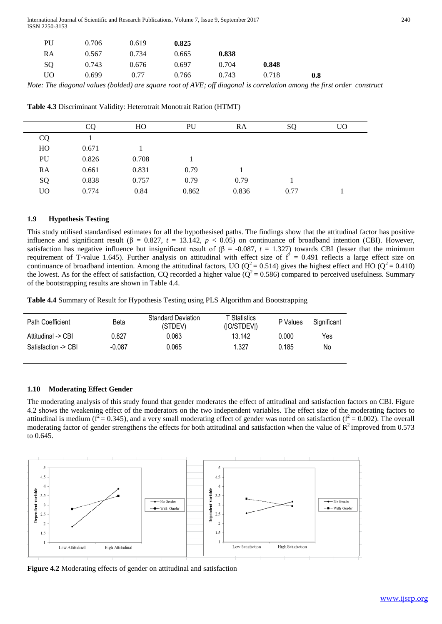International Journal of Scientific and Research Publications, Volume 7, Issue 9, September 2017 240 ISSN 2250-3153

| PU | 0.706 | 0.619 | 0.825 |       |       |     |
|----|-------|-------|-------|-------|-------|-----|
| RA | 0.567 | 0.734 | 0.665 | 0.838 |       |     |
| SQ | 0.743 | 0.676 | 0.697 | 0.704 | 0.848 |     |
| UO | 0.699 | 0.77  | 0.766 | 0.743 | 0.718 | 0.8 |

*Note: The diagonal values (bolded) are square root of AVE; off diagonal is correlation among the first order construct* 

**Table 4.3** Discriminant Validity: Heterotrait Monotrait Ration (HTMT)

|           | CQ    | HO    | PU    | RA    | <sub>SO</sub> | U <sub>O</sub> |
|-----------|-------|-------|-------|-------|---------------|----------------|
| CQ        |       |       |       |       |               |                |
| HO        | 0.671 |       |       |       |               |                |
| PU        | 0.826 | 0.708 |       |       |               |                |
| RA        | 0.661 | 0.831 | 0.79  |       |               |                |
| SQ        | 0.838 | 0.757 | 0.79  | 0.79  |               |                |
| <b>UO</b> | 0.774 | 0.84  | 0.862 | 0.836 | 0.77          |                |

#### **1.9 Hypothesis Testing**

This study utilised standardised estimates for all the hypothesised paths. The findings show that the attitudinal factor has positive influence and significant result ( $\beta = 0.827$ ,  $t = 13.142$ ,  $p < 0.05$ ) on continuance of broadband intention (CBI). However, satisfaction has negative influence but insignificant result of  $(\beta = -0.087, t = 1.327)$  towards CBI (lesser that the minimum requirement of T-value 1.645). Further analysis on attitudinal with effect size of  $f^2 = 0.491$  reflects a large effect size on continuance of broadband intention. Among the attitudinal factors, UO ( $Q^2$  = 0.514) gives the highest effect and HO ( $Q^2$  = 0.410) the lowest. As for the effect of satisfaction, CQ recorded a higher value ( $Q^2 = 0.586$ ) compared to perceived usefulness. Summary of the bootstrapping results are shown in Table 4.4.

**Table 4.4** Summary of Result for Hypothesis Testing using PLS Algorithm and Bootstrapping

| Path Coefficient    | Beta     | <b>Standard Deviation</b><br>(STDEV) | T Statistics<br>(IO/STDEVI) | P Values | Significant |
|---------------------|----------|--------------------------------------|-----------------------------|----------|-------------|
| Attitudinal -> CBI  | 0.827    | 0.063                                | 13.142                      | 0.000    | Yes         |
| Satisfaction -> CBI | $-0.087$ | 0.065                                | 1.327                       | 0.185    | No          |

#### **1.10 Moderating Effect Gender**

The moderating analysis of this study found that gender moderates the effect of attitudinal and satisfaction factors on CBI. Figure 4.2 shows the weakening effect of the moderators on the two independent variables. The effect size of the moderating factors to attitudinal is medium ( $f^2 = 0.345$ ), and a very small moderating effect of gender was noted on satisfaction ( $f^2 = 0.002$ ). The overall moderating factor of gender strengthens the effects for both attitudinal and satisfaction when the value of  $R^2$  improved from 0.573 to 0.645.



**Figure 4.2** Moderating effects of gender on attitudinal and satisfaction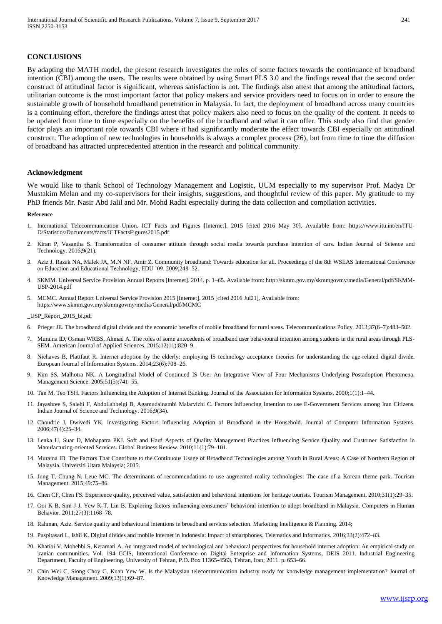#### **CONCLUSIONS**

By adapting the MATH model, the present research investigates the roles of some factors towards the continuance of broadband intention (CBI) among the users. The results were obtained by using Smart PLS 3.0 and the findings reveal that the second order construct of attitudinal factor is significant, whereas satisfaction is not. The findings also attest that among the attitudinal factors, utilitarian outcome is the most important factor that policy makers and service providers need to focus on in order to ensure the sustainable growth of household broadband penetration in Malaysia. In fact, the deployment of broadband across many countries is a continuing effort, therefore the findings attest that policy makers also need to focus on the quality of the content. It needs to be updated from time to time especially on the benefits of the broadband and what it can offer. This study also find that gender factor plays an important role towards CBI where it had significantly moderate the effect towards CBI especially on attitudinal construct. The adoption of new technologies in households is always a complex process (26), but from time to time the diffusion of broadband has attracted unprecedented attention in the research and political community.

#### **Acknowledgment**

We would like to thank School of Technology Management and Logistic, UUM especially to my supervisor Prof. Madya Dr Mustakim Melan and my co-supervisors for their insights, suggestions, and thoughtful review of this paper. My gratitude to my PhD friends Mr. Nasir Abd Jalil and Mr. Mohd Radhi especially during the data collection and compilation activities.

#### **Reference**

- 1. International Telecommunication Union. ICT Facts and Figures [Internet]. 2015 [cited 2016 May 30]. Available from: https://www.itu.int/en/ITU-D/Statistics/Documents/facts/ICTFactsFigures2015.pdf
- 2. Kiran P, Vasantha S. Transformation of consumer attitude through social media towards purchase intention of cars. Indian Journal of Science and Technology. 2016;9(21).
- 3. Aziz J, Razak NA, Malek JA, M.N NF, Amir Z. Community broadband: Towards education for all. Proceedings of the 8th WSEAS International Conference on Education and Educational Technology, EDU '09. 2009;248–52.
- 4. SKMM. Universal Service Provision Annual Reports [Internet]. 2014. p. 1–65. Available from: http://skmm.gov.my/skmmgovmy/media/General/pdf/SKMM-USP-2014.pdf
- 5. MCMC. Annual Report Universal Service Provision 2015 [Internet]. 2015 [cited 2016 Jul21]. Available from: https://www.skmm.gov.my/skmmgovmy/media/General/pdf/MCMC

\_USP\_Report\_2015\_bi.pdf

- 6. Prieger JE. The broadband digital divide and the economic benefits of mobile broadband for rural areas. Telecommunications Policy. 2013;37(6–7):483–502.
- 7. Muraina ID, Osman WRBS, Ahmad A. The roles of some antecedents of broadband user behavioural intention among students in the rural areas through PLS-SEM. American Journal of Applied Sciences. 2015;12(11):820–9.
- Niehaves B, Plattfaut R. Internet adoption by the elderly: employing IS technology acceptance theories for understanding the age-related digital divide. European Journal of Information Systems. 2014;23(6):708–26.
- 9. Kim SS, Malhotra NK. A Longitudinal Model of Continued IS Use: An Integrative View of Four Mechanisms Underlying Postadoption Phenomena. Management Science. 2005;51(5):741–55.
- 10. Tan M, Teo TSH. Factors Influencing the Adoption of Internet Banking. Journal of the Association for Information Systems. 2000;1(1):1–44.
- 11. Jayashree S, Salehi F, Abdollahbeigi B, Agamudainambi Malarvizhi C. Factors Influencing Intention to use E-Government Services among Iran Citizens. Indian Journal of Science and Technology. 2016;9(34).
- 12. Choudrie J, Dwivedi YK. Investigating Factors Influencing Adoption of Broadband in the Household. Journal of Computer Information Systems. 2006;47(4):25–34.
- 13. Lenka U, Suar D, Mohapatra PKJ. Soft and Hard Aspects of Quality Management Practices Influencing Service Quality and Customer Satisfaction in Manufacturing-oriented Services. Global Business Review. 2010;11(1):79–101.
- 14. Muraina ID. The Factors That Contribute to the Continuous Usage of Broadband Technologies among Youth in Rural Areas: A Case of Northern Region of Malaysia. Universiti Utara Malaysia; 2015.
- 15. Jung T, Chung N, Leue MC. The determinants of recommendations to use augmented reality technologies: The case of a Korean theme park. Tourism Management. 2015;49:75–86.
- 16. Chen CF, Chen FS. Experience quality, perceived value, satisfaction and behavioral intentions for heritage tourists. Tourism Management. 2010;31(1):29–35.
- 17. Ooi K-B, Sim J-J, Yew K-T, Lin B. Exploring factors influencing consumers' behavioral intention to adopt broadband in Malaysia. Computers in Human Behavior. 2011;27(3):1168–78.
- 18. Rahman, Aziz. Service quality and behavioural intentions in broadband services selection. Marketing Intelligence & Planning. 2014;
- 19. Puspitasari L, Ishii K. Digital divides and mobile Internet in Indonesia: Impact of smartphones. Telematics and Informatics. 2016;33(2):472–83.
- 20. Khatibi V, Mohebbi S, Keramati A. An integrated model of technological and behavioral perspectives for household internet adoption: An empirical study on iranian communities. Vol. 194 CCIS, International Conference on Digital Enterprise and Information Systems, DEIS 2011. Industrial Engineering Department, Faculty of Engineering, University of Tehran, P.O. Box 11365-4563, Tehran, Iran; 2011. p. 653–66.
- 21. Chin Wei C, Siong Choy C, Kuan Yew W. Is the Malaysian telecommunication industry ready for knowledge management implementation? Journal of Knowledge Management. 2009;13(1):69–87.